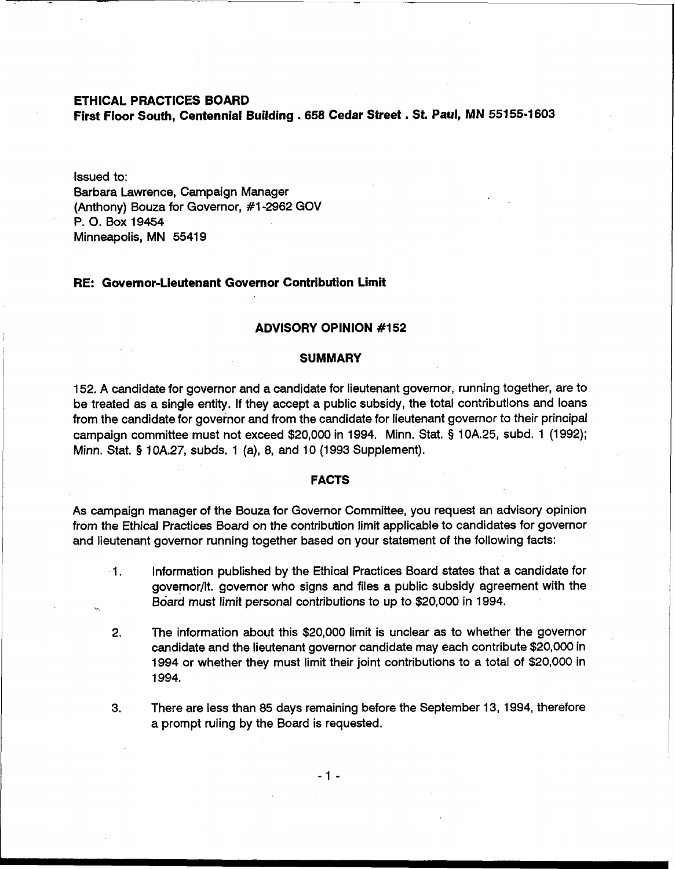**ETHICAL PRACTICES BOARD** 

**First Floor South, Centennial Building** . **<sup>658</sup>Cedar Street** . **St. Paul, MN 55155-1603** 

Issued to: Barbara Lawrence, Campaign Manager (Anthony) Bouza for Governor, #1-2962 GOV P. 0. Box 19454 Minneapolis, MN 55419

### **RE: Governor-Lieutenant Governor Contribution Limit**

## **ADVISORY OPINION #I 52**

### **SUMMARY**

152. A candidate for governor and a candidate for lieutenant governor, running together, are to be treated as a single entity. If they accept a public subsidy, the total contributions and loans from the candidate for governor and from the candidate for lieutenant governor to their principal campaign committee must not exceed \$20,000 in 1994. Minn. Stat. **5** 10A.25, subd. 1 (1992); Minn. Stat. § 10A.27, subds. 1 (a), 8, and 10 (1993 Supplement).

### **FACTS**

As campaign manager of the Bouza for Governor Committee, you request an advisory opinion from the Ethical Practices Board on the contribution limit applicable to candidates for governor and lieutenant governor running together based on your statement of the following facts:

- 1. Information published by the Ethical Practices Board states that a candidate for governor/lt. governor who signs and files a public subsidy agreement with the Board must limit personal contributions to up to \$20,000 in 1994.
- 2. The information about this \$20,000 limit is unclear as to whether the governor candidate and the lieutenant governor candidate may each contribute \$20,000 in 1994 or whether they must limit their joint contributions to a total of \$20,000 in 1994.
- 3. There are less than 85 days remaining before the September 13, 1994, therefore a prompt ruling by the Board is requested.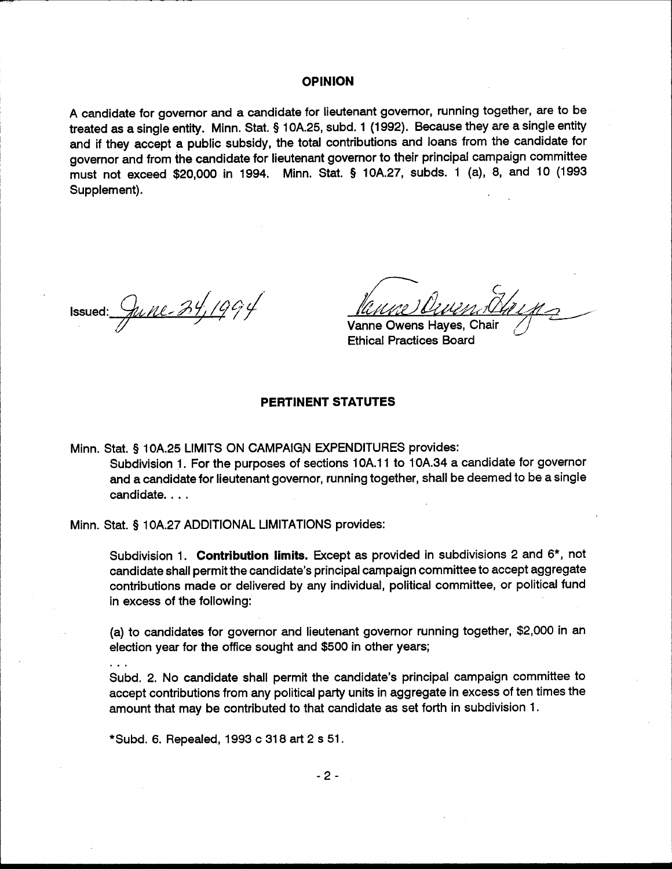#### **OPINION**

A candidate for governor and a candidate for lieutenant governor, running together, are to be treated as a single entity. Minn. Stat. § 10A.25, subd. 1 (1992). Because they are a single entity and if they accept a public subsidy, the total contributions and loans from the candidate for governor and from the candidate for lieutenant governor to their principal campaign committee must not exceed \$20,000 in 1994. Minn. Stat. § 10A.27, subds. 1 (a), 8, and 10 (1993 Supplement).

Issued:  $\frac{2\mu}{\mu}$ 

Vanne Owens Hayes, Chair **Ethical Practices Board** 

# **PERTINENT STATUTES**

Minn. Stat. § 10A.25 LIMITS ON CAMPAIGN EXPENDITURES provides: Subdivision 1. For the purposes of sections 10A.11 to 10A.34 a candidate for governor and a candidate for lieutenant governor, running together, shall be deemed to be a single candidate....

Minn. Stat. § 10A.27 ADDITIONAL LIMITATIONS provides:

Subdivision 1. Contribution limits. Except as provided in subdivisions 2 and 6\*, not candidate shall permit the candidate's principal campaign committee to accept aggregate contributions made or delivered by any individual, political committee, or political fund in excess of the following:

(a) to candidates for governor and lieutenant governor running together, \$2,000 in an election year for the office sought and \$500 in other years;

Subd. 2. No candidate shall permit the candidate's principal campaign committee to accept contributions from any political party units in aggregate in excess of ten times the amount that may be contributed to that candidate as set forth in subdivision 1.

\*Subd. 6. Repealed, 1993 c 318 art 2 s 51.